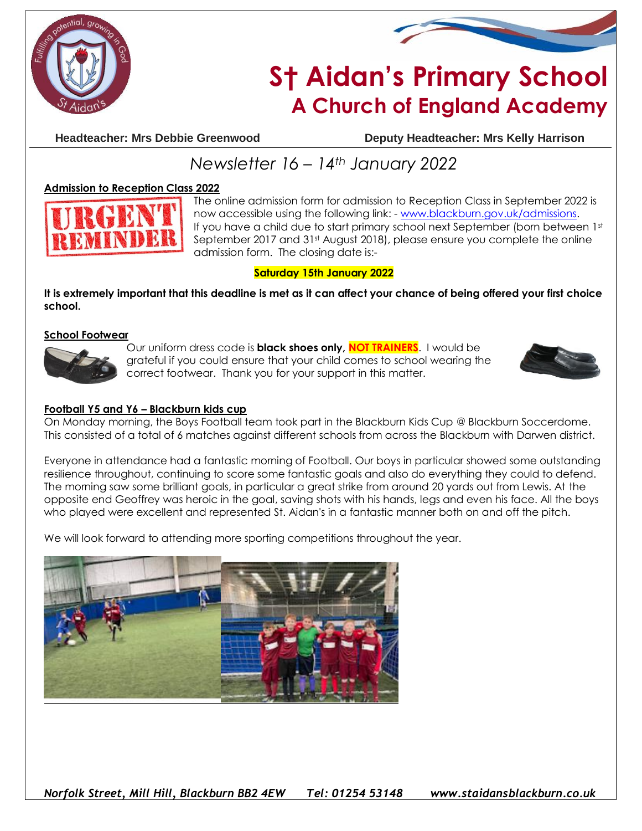



# **S† Aidan's Primary School A Church of England Academy**

**Headteacher: Mrs Debbie Greenwood Deputy Headteacher: Mrs Kelly Harrison**

## *Newsletter 16 – 14th January 2022*

#### **Admission to Reception Class 2022**



The online admission form for admission to Reception Class in September 2022 is now accessible using the following link: - [www.blackburn.gov.uk/admissions.](http://www.blackburn.gov.uk/admissions) If you have a child due to start primary school next September (born between 1st) September 2017 and 31st August 2018), please ensure you complete the online admission form. The closing date is:-

#### **Saturday 15th January 2022**

**It is extremely important that this deadline is met as it can affect your chance of being offered your first choice school.** 

#### **School Footwear**



Our uniform dress code is **black shoes only, NOT TRAINERS**. I would be grateful if you could ensure that your child comes to school wearing the correct footwear. Thank you for your support in this matter.



#### **Football Y5 and Y6 – Blackburn kids cup**

On Monday morning, the Boys Football team took part in the Blackburn Kids Cup @ Blackburn Soccerdome. This consisted of a total of 6 matches against different schools from across the Blackburn with Darwen district.

Everyone in attendance had a fantastic morning of Football. Our boys in particular showed some outstanding resilience throughout, continuing to score some fantastic goals and also do everything they could to defend. The morning saw some brilliant goals, in particular a great strike from around 20 yards out from Lewis. At the opposite end Geoffrey was heroic in the goal, saving shots with his hands, legs and even his face. All the boys who played were excellent and represented St. Aidan's in a fantastic manner both on and off the pitch.

We will look forward to attending more sporting competitions throughout the year.



*Norfolk Street, Mill Hill, Blackburn BB2 4EW Tel: 01254 53148 www.staidansblackburn.co.uk*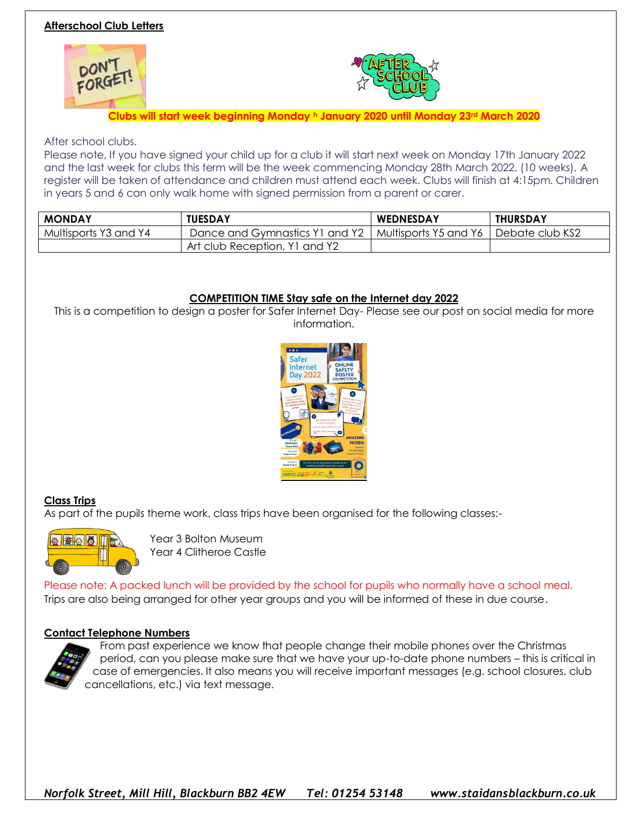### **Afterschool Club Letters**





**Clubs will start week beginning Monday <sup>h</sup> January 2020 until Monday 23rd March 2020**

#### After school clubs.

Please note, If you have signed your child up for a club it will start next week on Monday 17th January 2022 and the last week for clubs this term will be the week commencing Monday 28th March 2022. (10 weeks). A register will be taken of attendance and children must attend each week. Clubs will finish at 4:15pm. Children in years 5 and 6 can only walk home with signed permission from a parent or carer.

| <b>MONDAY</b>         | <b>TUESDAY</b>                 | <b>WEDNESDAY</b>                        | <b>THURSDAY</b> |
|-----------------------|--------------------------------|-----------------------------------------|-----------------|
| Multisports Y3 and Y4 | Dance and Gymnastics Y1 and Y2 | Multisports Y5 and Y6   Debate club KS2 |                 |
|                       | Art club Reception, Y1 and Y2  |                                         |                 |

#### **COMPETITION TIME Stay safe on the Internet day 2022**

This is a competition to design a poster for Safer Internet Day- Please see our post on social media for more information.



#### **Class Trips**

As part of the pupils theme work, class trips have been organised for the following classes:-



Year 3 Bolton Museum Year 4 Clitheroe Castle

Please note: A packed lunch will be provided by the school for pupils who normally have a school meal. Trips are also being arranged for other year groups and you will be informed of these in due course.

#### **Contact Telephone Numbers**



From past experience we know that people change their mobile phones over the Christmas period, can you please make sure that we have your up-to-date phone numbers – this is critical in case of emergencies. It also means you will receive important messages (e.g. school closures, club cancellations, etc.) via text message.